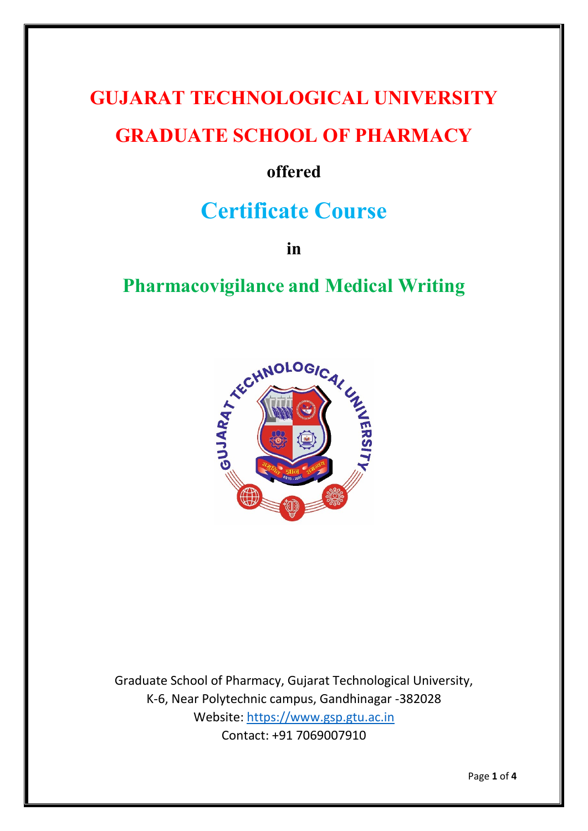# **GUJARAT TECHNOLOGICAL UNIVERSITY GRADUATE SCHOOL OF PHARMACY**

### **offered**

## **Certificate Course**

**in**

## **Pharmacovigilance and Medical Writing**



Graduate School of Pharmacy, Gujarat Technological University, K-6, Near Polytechnic campus, Gandhinagar -382028 Website: [https://www.gsp.gtu.ac.in](https://www.gsp.gtu.ac.in/) Contact: +91 7069007910

Page **1** of **4**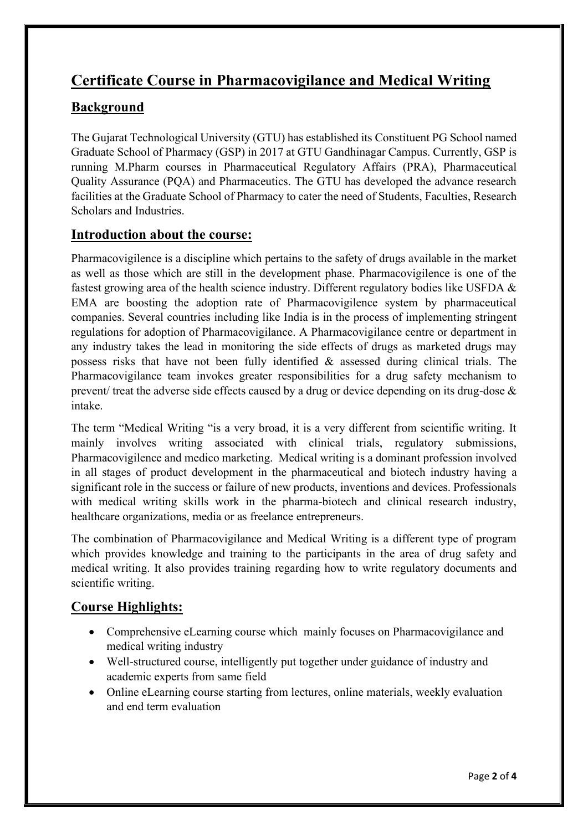# **Certificate Course in Pharmacovigilance and Medical Writing**

#### **Background**

The Gujarat Technological University (GTU) has established its Constituent PG School named Graduate School of Pharmacy (GSP) in 2017 at GTU Gandhinagar Campus. Currently, GSP is running M.Pharm courses in Pharmaceutical Regulatory Affairs (PRA), Pharmaceutical Quality Assurance (PQA) and Pharmaceutics. The GTU has developed the advance research facilities at the Graduate School of Pharmacy to cater the need of Students, Faculties, Research Scholars and Industries.

#### **Introduction about the course:**

Pharmacovigilence is a discipline which pertains to the safety of drugs available in the market as well as those which are still in the development phase. Pharmacovigilence is one of the fastest growing area of the health science industry. Different regulatory bodies like USFDA & EMA are boosting the adoption rate of Pharmacovigilence system by pharmaceutical companies. Several countries including like India is in the process of implementing stringent regulations for adoption of Pharmacovigilance. A Pharmacovigilance centre or department in any industry takes the lead in monitoring the side effects of drugs as marketed drugs may possess risks that have not been fully identified & assessed during clinical trials. The Pharmacovigilance team invokes greater responsibilities for a drug safety mechanism to prevent/ treat the adverse side effects caused by a drug or device depending on its drug-dose & intake.

The term "Medical Writing "is a very broad, it is a very different from scientific writing. It mainly involves writing associated with clinical trials, regulatory submissions, Pharmacovigilence and medico marketing. Medical writing is a dominant profession involved in all stages of product development in the pharmaceutical and biotech industry having a significant role in the success or failure of new products, inventions and devices. Professionals with medical writing skills work in the pharma-biotech and clinical research industry, healthcare organizations, media or as freelance entrepreneurs.

The combination of Pharmacovigilance and Medical Writing is a different type of program which provides knowledge and training to the participants in the area of drug safety and medical writing. It also provides training regarding how to write regulatory documents and scientific writing.

#### **Course Highlights:**

- Comprehensive eLearning course which mainly focuses on Pharmacovigilance and medical writing industry
- Well-structured course, intelligently put together under guidance of industry and academic experts from same field
- Online eLearning course starting from lectures, online materials, weekly evaluation and end term evaluation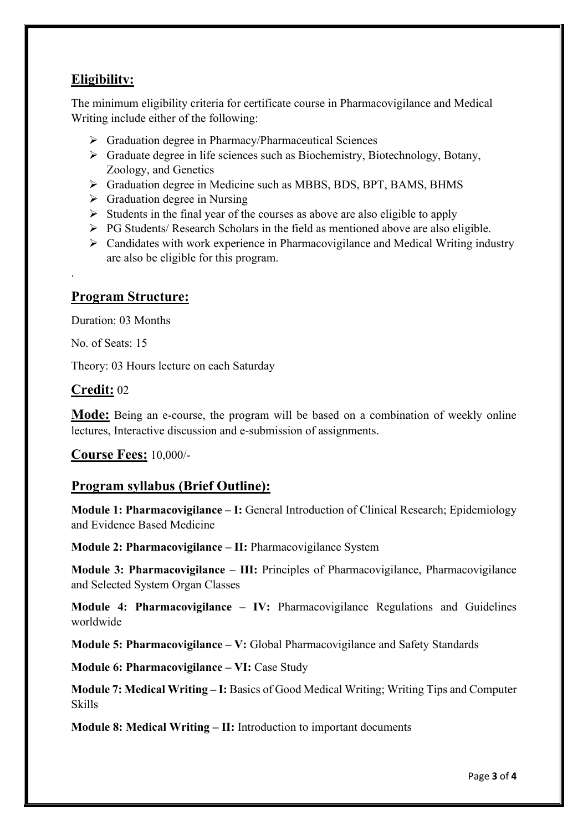#### **Eligibility:**

The minimum eligibility criteria for certificate course in Pharmacovigilance and Medical Writing include either of the following:

- ➢ Graduation degree in Pharmacy/Pharmaceutical Sciences
- ➢ Graduate degree in life sciences such as Biochemistry, Biotechnology, Botany, Zoology, and Genetics
- ➢ Graduation degree in Medicine such as MBBS, BDS, BPT, BAMS, BHMS
- $\triangleright$  Graduation degree in Nursing
- $\triangleright$  Students in the final year of the courses as above are also eligible to apply
- ➢ PG Students/ Research Scholars in the field as mentioned above are also eligible.
- ➢ Candidates with work experience in Pharmacovigilance and Medical Writing industry are also be eligible for this program.

#### **Program Structure:**

Duration: 03 Months

No. of Seats: 15

.

Theory: 03 Hours lecture on each Saturday

#### **Credit:** 02

**Mode:** Being an e-course, the program will be based on a combination of weekly online lectures, Interactive discussion and e-submission of assignments.

**Course Fees:** 10,000/-

#### **Program syllabus (Brief Outline):**

**Module 1: Pharmacovigilance – I:** General Introduction of Clinical Research; Epidemiology and Evidence Based Medicine

**Module 2: Pharmacovigilance – II:** Pharmacovigilance System

**Module 3: Pharmacovigilance – III:** Principles of Pharmacovigilance, Pharmacovigilance and Selected System Organ Classes

**Module 4: Pharmacovigilance – IV:** Pharmacovigilance Regulations and Guidelines worldwide

**Module 5: Pharmacovigilance – V:** Global Pharmacovigilance and Safety Standards

**Module 6: Pharmacovigilance – VI:** Case Study

**Module 7: Medical Writing – I:** Basics of Good Medical Writing; Writing Tips and Computer Skills

**Module 8: Medical Writing – II:** Introduction to important documents